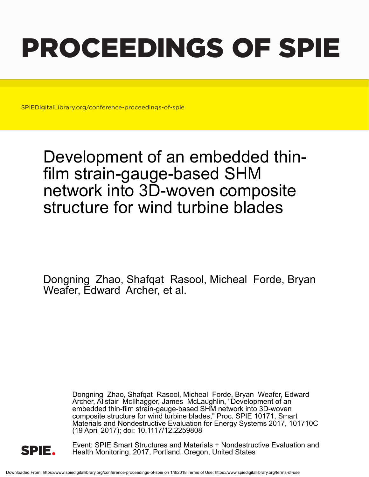# PROCEEDINGS OF SPIE

SPIEDigitalLibrary.org/conference-proceedings-of-spie

## Development of an embedded thinfilm strain-gauge-based SHM network into 3D-woven composite structure for wind turbine blades

Dongning Zhao, Shafqat Rasool, Micheal Forde, Bryan Weafer, Edward Archer, et al.

> Dongning Zhao, Shafqat Rasool, Micheal Forde, Bryan Weafer, Edward Archer, Alistair McIlhagger, James McLaughlin, "Development of an embedded thin-film strain-gauge-based SHM network into 3D-woven composite structure for wind turbine blades," Proc. SPIE 10171, Smart Materials and Nondestructive Evaluation for Energy Systems 2017, 101710C (19 April 2017); doi: 10.1117/12.2259808



Event: SPIE Smart Structures and Materials + Nondestructive Evaluation and Health Monitoring, 2017, Portland, Oregon, United States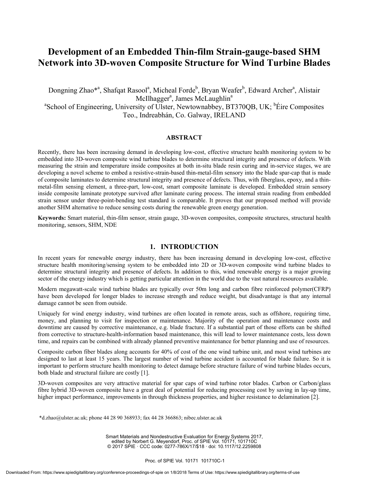### **Development of an Embedded Thin-film Strain-gauge-based SHM Network into 3D-woven Composite Structure for Wind Turbine Blades**

Dongning Zhao<sup>\*a</sup>, Shafqat Rasool<sup>a</sup>, Micheal Forde<sup>b</sup>, Bryan Weafer<sup>b</sup>, Edward Archer<sup>a</sup>, Alistair McIlhagger<sup>a</sup>, James McLaughlin<sup>a</sup>

<sup>a</sup>School of Engineering, University of Ulster, Newtownabbey, BT370QB, UK; <sup>b</sup>Éire Composites Teo., Indreabhán, Co. Galway, IRELAND

#### **ABSTRACT**

Recently, there has been increasing demand in developing low-cost, effective structure health monitoring system to be embedded into 3D-woven composite wind turbine blades to determine structural integrity and presence of defects. With measuring the strain and temperature inside composites at both in-situ blade resin curing and in-service stages, we are developing a novel scheme to embed a resistive-strain-based thin-metal-film sensory into the blade spar-cap that is made of composite laminates to determine structural integrity and presence of defects. Thus, with fiberglass, epoxy, and a thinmetal-film sensing element, a three-part, low-cost, smart composite laminate is developed. Embedded strain sensory inside composite laminate prototype survived after laminate curing process. The internal strain reading from embedded strain sensor under three-point-bending test standard is comparable. It proves that our proposed method will provide another SHM alternative to reduce sensing costs during the renewable green energy generation.

**Keywords:** Smart material, thin-film sensor, strain gauge, 3D-woven composites, composite structures, structural health monitoring, sensors, SHM, NDE

#### **1. INTRODUCTION**

In recent years for renewable energy industry, there has been increasing demand in developing low-cost, effective structure health monitoring/sensing system to be embedded into 2D or 3D-woven composite wind turbine blades to determine structural integrity and presence of defects. In addition to this, wind renewable energy is a major growing sector of the energy industry which is getting particular attention in the world due to the vast natural resources available.

Modern megawatt-scale wind turbine blades are typically over 50m long and carbon fibre reinforced polymer(CFRP) have been developed for longer blades to increase strength and reduce weight, but disadvantage is that any internal damage cannot be seen from outside.

Uniquely for wind energy industry, wind turbines are often located in remote areas, such as offshore, requiring time, money, and planning to visit for inspection or maintenance. Majority of the operation and maintenance costs and downtime are caused by corrective maintenance, e.g. blade fracture. If a substantial part of those efforts can be shifted from corrective to structure-health-information based maintenance, this will lead to lower maintenance costs, less down time, and repairs can be combined with already planned preventive maintenance for better planning and use of resources.

Composite carbon fiber blades along accounts for 40% of cost of the one wind turbine unit, and most wind turbines are designed to last at least 15 years. The largest number of wind turbine accident is accounted for blade failure. So it is important to perform structure health monitoring to detect damage before structure failure of wind turbine blades occurs, both blade and structural failure are costly [1].

3D-woven composites are very attractive material for spar caps of wind turbine rotor blades. Carbon or Carbon/glass fibre hybrid 3D-woven composite have a great deal of potential for reducing processing cost by saving in lay-up time, higher impact performance, improvements in through thickness properties, and higher resistance to delamination [2].

\*d.zhao@ulster.ac.uk; phone 44 28 90 368933; fax 44 28 366863; nibec.ulster.ac.uk

Smart Materials and Nondestructive Evaluation for Energy Systems 2017, edited by Norbert G. Meyendorf, Proc. of SPIE Vol. 10171, 101710C © 2017 SPIE · CCC code: 0277-786X/17/\$18 · doi: 10.1117/12.2259808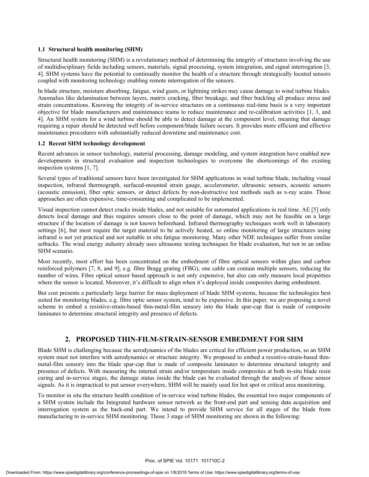#### **1.1 Structural health monitoring (SHM)**

Structural health monitoring (SHM) is a revolutionary method of determining the integrity of structures involving the use of multidisciplinary fields including sensors, materials, signal processing, system integration, and signal interrogation [3, 4]. SHM systems have the potential to continually monitor the health of a structure through strategically located sensors coupled with monitoring technology enabling remote interrogation of the sensors.

In blade structure, moisture absorbing, fatigue, wind gusts, or lightning strikes may cause damage to wind turbine blades. Anomalies like delamination between layers, matrix cracking, fiber breakage, and fiber buckling all produce stress and strain concentrations. Knowing the integrity of in-service structures on a continuous real-time basis is a very important objective for blade manufacturers and maintenance teams to reduce maintenance and re-calibration activities [1, 3, and 4]. An SHM system for a wind turbine should be able to detect damage at the component level, meaning that damage requiring a repair should be detected well before component/blade failure occurs. It provides more efficient and effective maintenance procedures with substantially reduced downtime and maintenance cost.

#### **1.2 Recent SHM technology development**

Recent advances in sensor technology, material processing, damage modeling, and system integration have enabled new developments in structural evaluation and inspection technologies to overcome the shortcomings of the existing inspection systems [1, 7].

Several types of traditional sensors have been investigated for SHM applications in wind turbine blade, including visual inspection, infrared thermograph, surfaced-mounted strain gauge, accelerometer, ultrasonic sensors, acoustic sensors (acoustic emission), fiber optic sensors, or detect defects by non-destructive test methods such as x-ray scans. Those approaches are often expensive, time-consuming and complicated to be implemented.

Visual inspection cannot detect cracks inside blades, and not suitable for automated applications in real time. AE [5] only detects local damage and thus requires sensors close to the point of damage, which may not be feasible on a large structure if the location of damage is not known beforehand. Infrared thermography techniques work well in laboratory settings [6], but most require the target material to be actively heated, so online monitoring of large structures using infrared is not yet practical and not suitable in situ fatigue monitoring. Many other NDE techniques suffer from similar setbacks. The wind energy industry already uses ultrasonic testing techniques for blade evaluation, but not in an online SHM scenario.

Most recently, most effort has been concentrated on the embedment of fibre optical sensors within glass and carbon reinforced polymers [7, 8, and 9], e.g. fibre Bragg grating (FBG), one cable can contain multiple sensors, reducing the number of wires. Fibre optical sensor based approach is not only expensive, but also can only measure local properties where the sensor is located. Moreover, it's difficult to align when it's deployed inside composites during embedment.

But cost presents a particularly large barrier for mass deployment of blade SHM systems, because the technologies best suited for monitoring blades, e.g. fibre optic sensor system, tend to be expensive. In this paper, we are proposing a novel scheme to embed a resistive-strain-based thin-metal-film sensory into the blade spar-cap that is made of composite laminates to determine structural integrity and presence of defects.

#### **2. PROPOSED THIN-FILM-STRAIN-SENSOR EMBEDMENT FOR SHM**

Blade SHM is challenging because the aerodynamics of the blades are critical for efficient power production, so an SHM system must not interfere with aerodynamics or structure integrity. We proposed to embed a resistive-strain-based thinmetal-film sensory into the blade spar-cap that is made of composite laminates to determine structural integrity and presence of defects. With measuring the internal strain and/or temperature inside composites at both in-situ blade resin curing and in-service stages, the damage status inside the blade can be evaluated through the analysis of those sensor signals. As it is impractical to put sensor everywhere, SHM will be mainly used for hot spot or critical area monitoring.

To monitor in situ the structure health condition of in-service wind turbine blades, the essential two major components of a SHM system include the Integrated hardware sensor network as the front-end part and sensing data acquisition and interrogation system as the back-end part. We intend to provide SHM service for all stages of the blade from manufacturing to in-service SHM monitoring. Those 3 stage of SHM monitoring are shown in the following: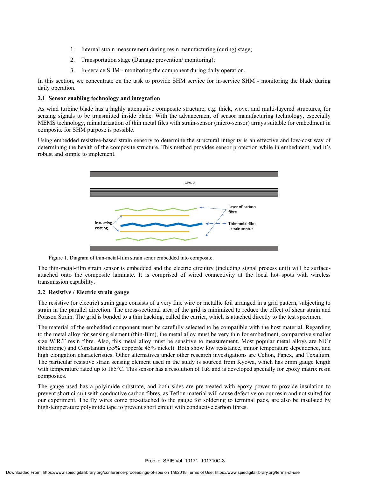- 1. Internal strain measurement during resin manufacturing (curing) stage;
- 2. Transportation stage (Damage prevention/ monitoring);
- 3. In-service SHM monitoring the component during daily operation.

In this section, we concentrate on the task to provide SHM service for in-service SHM - monitoring the blade during daily operation.

#### **2.1 Sensor enabling technology and integration**

As wind turbine blade has a highly attenuative composite structure, e.g. thick, wove, and multi-layered structures, for sensing signals to be transmitted inside blade. With the advancement of sensor manufacturing technology, especially MEMS technology, miniaturization of thin metal files with strain-sensor (micro-sensor) arrays suitable for embedment in composite for SHM purpose is possible.

Using embedded resistive-based strain sensory to determine the structural integrity is an effective and low-cost way of determining the health of the composite structure. This method provides sensor protection while in embedment, and it's robust and simple to implement.



Figure 1. Diagram of thin-metal-film strain senor embedded into composite.

The thin-metal-film strain sensor is embedded and the electric circuitry (including signal process unit) will be surfaceattached onto the composite laminate. It is comprised of wired connectivity at the local hot spots with wireless transmission capability.

#### **2.2 Resistive / Electric strain gauge**

The resistive (or electric) strain gage consists of a very fine wire or metallic foil arranged in a grid pattern, subjecting to strain in the parallel direction. The cross-sectional area of the grid is minimized to reduce the effect of shear strain and Poisson Strain. The grid is bonded to a thin backing, called the carrier, which is attached directly to the test specimen.

The material of the embedded component must be carefully selected to be compatible with the host material. Regarding to the metal alloy for sensing element (thin-film), the metal alloy must be very thin for embedment, comparative smaller size W.R.T resin fibre. Also, this metal alloy must be sensitive to measurement. Most popular metal alloys are NiCr (Nichrome) and Constantan (55% copper& 45% nickel). Both show low resistance, minor temperature dependence, and high elongation characteristics. Other alternatives under other research investigations are Celion, Panex, and Texalium. The particular resistive strain sensing element used in the study is sourced from Kyowa, which has 5mm gauge length with temperature rated up to 185°C. This sensor has a resolution of 1uE and is developed specially for epoxy matrix resin composites.

The gauge used has a polyimide substrate, and both sides are pre-treated with epoxy power to provide insulation to prevent short circuit with conductive carbon fibres, as Teflon material will cause defective on our resin and not suited for our experiment. The fly wires come pre-attached to the gauge for soldering to terminal pads, are also be insulated by high-temperature polyimide tape to prevent short circuit with conductive carbon fibres.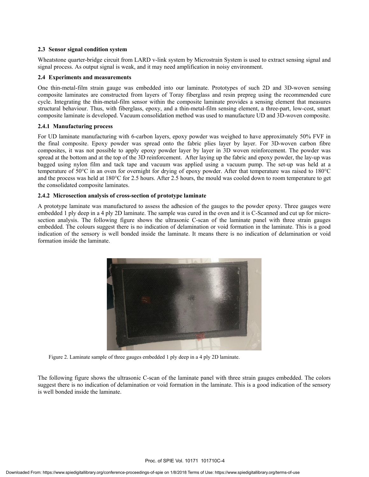#### **2.3 Sensor signal condition system**

Wheatstone quarter-bridge circuit from LARD v-link system by Microstrain System is used to extract sensing signal and signal process. As output signal is weak, and it may need amplification in noisy environment.

#### **2.4 Experiments and measurements**

One thin-metal-film strain gauge was embedded into our laminate. Prototypes of such 2D and 3D-woven sensing composite laminates are constructed from layers of Toray fiberglass and resin prepreg using the recommended cure cycle. Integrating the thin-metal-film sensor within the composite laminate provides a sensing element that measures structural behaviour. Thus, with fiberglass, epoxy, and a thin-metal-film sensing element, a three-part, low-cost, smart composite laminate is developed. Vacuum consolidation method was used to manufacture UD and 3D-woven composite.

#### **2.4.1 Manufacturing process**

For UD laminate manufacturing with 6-carbon layers, epoxy powder was weighed to have approximately 50% FVF in the final composite. Epoxy powder was spread onto the fabric plies layer by layer. For 3D-woven carbon fibre composites, it was not possible to apply epoxy powder layer by layer in 3D woven reinforcement. The powder was spread at the bottom and at the top of the 3D reinforcement. After laying up the fabric and epoxy powder, the lay-up was bagged using nylon film and tack tape and vacuum was applied using a vacuum pump. The set-up was held at a temperature of 50°C in an oven for overnight for drying of epoxy powder. After that temperature was raised to 180°C and the process was held at 180°C for 2.5 hours. After 2.5 hours, the mould was cooled down to room temperature to get the consolidated composite laminates.

#### **2.4.2 Microsection analysis of cross-section of prototype laminate**

A prototype laminate was manufactured to assess the adhesion of the gauges to the powder epoxy. Three gauges were embedded 1 ply deep in a 4 ply 2D laminate. The sample was cured in the oven and it is C-Scanned and cut up for microsection analysis. The following figure shows the ultrasonic C-scan of the laminate panel with three strain gauges embedded. The colours suggest there is no indication of delamination or void formation in the laminate. This is a good indication of the sensory is well bonded inside the laminate. It means there is no indication of delamination or void formation inside the laminate.



Figure 2. Laminate sample of three gauges embedded 1 ply deep in a 4 ply 2D laminate.

The following figure shows the ultrasonic C-scan of the laminate panel with three strain gauges embedded. The colors suggest there is no indication of delamination or void formation in the laminate. This is a good indication of the sensory is well bonded inside the laminate.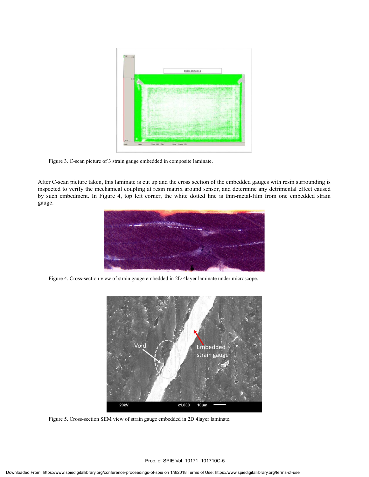

Figure 3. C-scan picture of 3 strain gauge embedded in composite laminate.

After C-scan picture taken, this laminate is cut up and the cross section of the embedded gauges with resin surrounding is inspected to verify the mechanical coupling at resin matrix around sensor, and determine any detrimental effect caused by such embedment. In Figure 4, top left corner, the white dotted line is thin-metal-film from one embedded strain gauge.



Figure 4. Cross-section view of strain gauge embedded in 2D 4layer laminate under microscope.



Figure 5. Cross-section SEM view of strain gauge embedded in 2D 4layer laminate.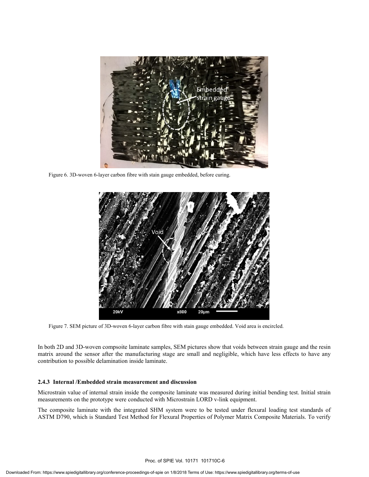

Figure 6. 3D-woven 6-layer carbon fibre with stain gauge embedded, before curing.



Figure 7. SEM picture of 3D-woven 6-layer carbon fibre with stain gauge embedded. Void area is encircled.

In both 2D and 3D-woven compsoite laminate samples, SEM pictures show that voids between strain gauge and the resin matrix around the sensor after the manufacturing stage are small and negligible, which have less effects to have any contribution to possible delamination inside laminate.

#### **2.4.3 Internal /Embedded strain measurement and discussion**

Microstrain value of internal strain inside the composite laminate was measured during initial bending test. Initial strain measurements on the prototype were conducted with Microstrain LORD v-link equipment.

The composite laminate with the integrated SHM system were to be tested under flexural loading test standards of ASTM D790, which is Standard Test Method for Flexural Properties of Polymer Matrix Composite Materials. To verify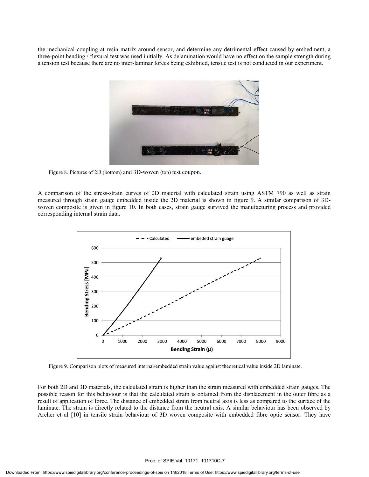the mechanical coupling at resin matrix around sensor, and determine any detrimental effect caused by embedment, a three-point bending / flexural test was used initially. As delamination would have no effect on the sample strength during a tension test because there are no inter-laminar forces being exhibited, tensile test is not conducted in our experiment.



Figure 8. Pictures of 2D (bottom) and 3D-woven (top) test coupon.

A comparison of the stress-strain curves of 2D material with calculated strain using ASTM 790 as well as strain measured through strain gauge embedded inside the 2D material is shown in figure 9. A similar comparison of 3Dwoven composite is given in figure 10. In both cases, strain gauge survived the manufacturing process and provided corresponding internal strain data.



Figure 9. Comparison plots of measured internal/embedded strain value against theoretical value inside 2D laminate.

For both 2D and 3D materials, the calculated strain is higher than the strain measured with embedded strain gauges. The possible reason for this behaviour is that the calculated strain is obtained from the displacement in the outer fibre as a result of application of force. The distance of embedded strain from neutral axis is less as compared to the surface of the laminate. The strain is directly related to the distance from the neutral axis. A similar behaviour has been observed by Archer et al [10] in tensile strain behaviour of 3D woven composite with embedded fibre optic sensor. They have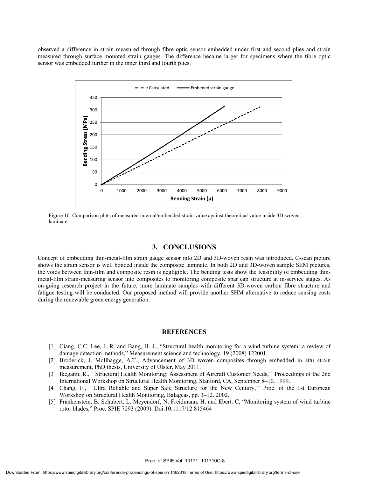observed a difference in strain measured through fibre optic sensor embedded under first and second plies and strain measured through surface mounted strain gauges. The difference became larger for specimens where the fibre optic sensor was embedded further in the inner third and fourth plies.



Figure 10. Comparison plots of measured internal/embedded strain value against theoretical value inside 3D-woven laminate.

#### **3. CONCLUSIONS**

Concept of embedding thin-metal-film strain gauge sensor into 2D and 3D-woven resin was introduced. C-scan picture shows the strain sensor is well bonded inside the composite laminate. In both 2D and 3D-woven sample SEM pictures, the voids between thin-film and composite resin is negligible. The bending tests show the feasibility of embedding thinmetal-film strain-measuring sensor into composites to monitoring composite spar cap structure at in-service stages. As on-going research project in the future, more laminate samples with different 3D-woven carbon fibre structure and fatigue testing will be conducted. Our proposed method will provide another SHM alternative to reduce sensing costs during the renewable green energy generation.

#### **REFERENCES**

- [1] Ciang, C.C. Lee, J. R. and Bang, H. J., "Structural health monitoring for a wind turbine system: a review of damage detection methods," Measurement science and technology, 19 (2008) 122001.
- [2] Broderick, J. McIlhagge, A.T., Advancement of 3D woven composites through embedded in situ strain measurement, PhD thesis, University of Ulster, May 2011.
- [3] Ikegami, R., ''Structural Health Monitoring: Assessment of Aircraft Customer Needs,'' Proceedings of the 2nd International Workshop on Structural Health Monitoring, Stanford, CA, September 8–10. 1999.
- [4] Chang, F., ''Ultra Reliable and Super Safe Structure for the New Century,'' Proc. of the 1st European Workshop on Structural Health Monitoring, Balageas, pp. 3–12. 2002.
- [5] Frankenstein, B. Schubert, L. Meyendorf, N. Freidmann, H. and Ebert. C, "Monitoring system of wind turbine rotor blades," Proc. SPIE 7293 (2009). Doi:10.1117/12.815464